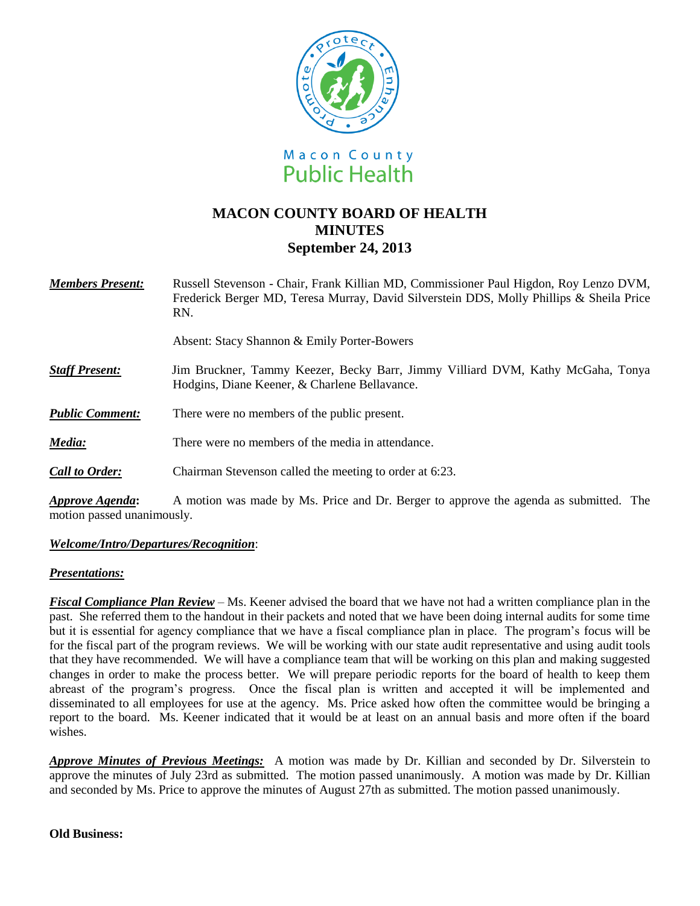

# **MACON COUNTY BOARD OF HEALTH MINUTES September 24, 2013**

| <b>Members Present:</b> | Russell Stevenson - Chair, Frank Killian MD, Commissioner Paul Higdon, Roy Lenzo DVM,<br>Frederick Berger MD, Teresa Murray, David Silverstein DDS, Molly Phillips & Sheila Price<br>RN. |
|-------------------------|------------------------------------------------------------------------------------------------------------------------------------------------------------------------------------------|
|                         | Absent: Stacy Shannon & Emily Porter-Bowers                                                                                                                                              |
| <b>Staff Present:</b>   | Jim Bruckner, Tammy Keezer, Becky Barr, Jimmy Villiard DVM, Kathy McGaha, Tonya<br>Hodgins, Diane Keener, & Charlene Bellavance.                                                         |
| <b>Public Comment:</b>  | There were no members of the public present.                                                                                                                                             |
| Media:                  | There were no members of the media in attendance.                                                                                                                                        |
| <b>Call to Order:</b>   | Chairman Stevenson called the meeting to order at 6:23.                                                                                                                                  |
| Approve Agenda:         | A motion was made by Ms. Price and Dr. Berger to approve the agenda as submitted. The                                                                                                    |

motion passed unanimously.

## *Welcome/Intro/Departures/Recognition*:

## *Presentations:*

*Fiscal Compliance Plan Review* – Ms. Keener advised the board that we have not had a written compliance plan in the past. She referred them to the handout in their packets and noted that we have been doing internal audits for some time but it is essential for agency compliance that we have a fiscal compliance plan in place. The program's focus will be for the fiscal part of the program reviews. We will be working with our state audit representative and using audit tools that they have recommended. We will have a compliance team that will be working on this plan and making suggested changes in order to make the process better. We will prepare periodic reports for the board of health to keep them abreast of the program's progress. Once the fiscal plan is written and accepted it will be implemented and disseminated to all employees for use at the agency. Ms. Price asked how often the committee would be bringing a report to the board. Ms. Keener indicated that it would be at least on an annual basis and more often if the board wishes.

*Approve Minutes of Previous Meetings:* A motion was made by Dr. Killian and seconded by Dr. Silverstein to approve the minutes of July 23rd as submitted. The motion passed unanimously. A motion was made by Dr. Killian and seconded by Ms. Price to approve the minutes of August 27th as submitted. The motion passed unanimously.

## **Old Business:**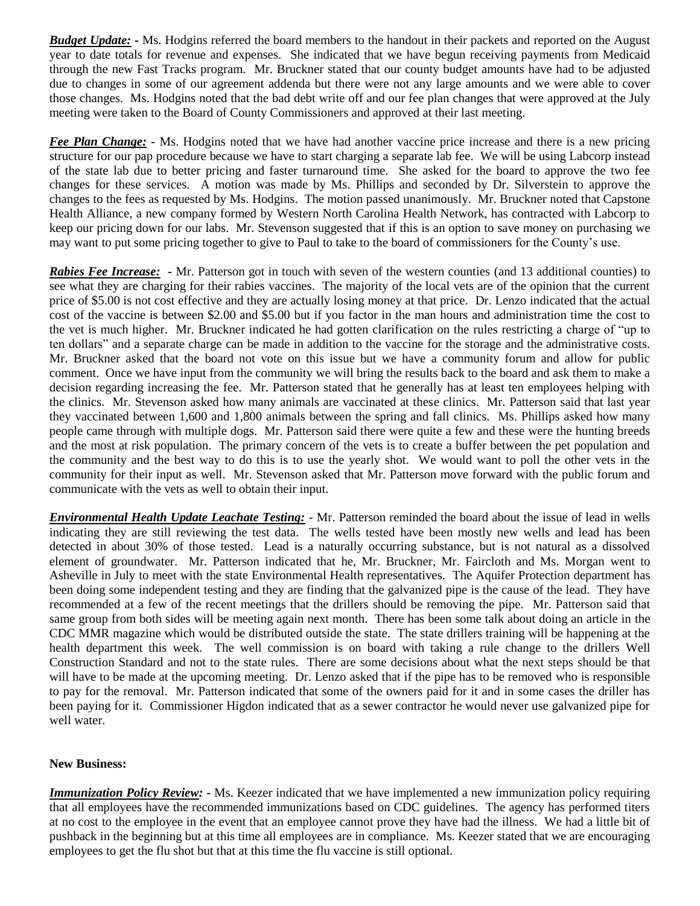*Budget Update:* **-** Ms. Hodgins referred the board members to the handout in their packets and reported on the August year to date totals for revenue and expenses. She indicated that we have begun receiving payments from Medicaid through the new Fast Tracks program. Mr. Bruckner stated that our county budget amounts have had to be adjusted due to changes in some of our agreement addenda but there were not any large amounts and we were able to cover those changes. Ms. Hodgins noted that the bad debt write off and our fee plan changes that were approved at the July meeting were taken to the Board of County Commissioners and approved at their last meeting.

*Fee Plan Change: -* Ms. Hodgins noted that we have had another vaccine price increase and there is a new pricing structure for our pap procedure because we have to start charging a separate lab fee. We will be using Labcorp instead of the state lab due to better pricing and faster turnaround time. She asked for the board to approve the two fee changes for these services. A motion was made by Ms. Phillips and seconded by Dr. Silverstein to approve the changes to the fees as requested by Ms. Hodgins. The motion passed unanimously. Mr. Bruckner noted that Capstone Health Alliance, a new company formed by Western North Carolina Health Network, has contracted with Labcorp to keep our pricing down for our labs. Mr. Stevenson suggested that if this is an option to save money on purchasing we may want to put some pricing together to give to Paul to take to the board of commissioners for the County's use.

*Rabies Fee Increase:* **-** Mr. Patterson got in touch with seven of the western counties (and 13 additional counties) to see what they are charging for their rabies vaccines. The majority of the local vets are of the opinion that the current price of \$5.00 is not cost effective and they are actually losing money at that price. Dr. Lenzo indicated that the actual cost of the vaccine is between \$2.00 and \$5.00 but if you factor in the man hours and administration time the cost to the vet is much higher. Mr. Bruckner indicated he had gotten clarification on the rules restricting a charge of "up to ten dollars" and a separate charge can be made in addition to the vaccine for the storage and the administrative costs. Mr. Bruckner asked that the board not vote on this issue but we have a community forum and allow for public comment. Once we have input from the community we will bring the results back to the board and ask them to make a decision regarding increasing the fee. Mr. Patterson stated that he generally has at least ten employees helping with the clinics. Mr. Stevenson asked how many animals are vaccinated at these clinics. Mr. Patterson said that last year they vaccinated between 1,600 and 1,800 animals between the spring and fall clinics. Ms. Phillips asked how many people came through with multiple dogs. Mr. Patterson said there were quite a few and these were the hunting breeds and the most at risk population. The primary concern of the vets is to create a buffer between the pet population and the community and the best way to do this is to use the yearly shot. We would want to poll the other vets in the community for their input as well. Mr. Stevenson asked that Mr. Patterson move forward with the public forum and communicate with the vets as well to obtain their input.

*Environmental Health Update Leachate Testing:* - Mr. Patterson reminded the board about the issue of lead in wells indicating they are still reviewing the test data. The wells tested have been mostly new wells and lead has been detected in about 30% of those tested. Lead is a naturally occurring substance, but is not natural as a dissolved element of groundwater. Mr. Patterson indicated that he, Mr. Bruckner, Mr. Faircloth and Ms. Morgan went to Asheville in July to meet with the state Environmental Health representatives. The Aquifer Protection department has been doing some independent testing and they are finding that the galvanized pipe is the cause of the lead. They have recommended at a few of the recent meetings that the drillers should be removing the pipe. Mr. Patterson said that same group from both sides will be meeting again next month. There has been some talk about doing an article in the CDC MMR magazine which would be distributed outside the state. The state drillers training will be happening at the health department this week. The well commission is on board with taking a rule change to the drillers Well Construction Standard and not to the state rules. There are some decisions about what the next steps should be that will have to be made at the upcoming meeting. Dr. Lenzo asked that if the pipe has to be removed who is responsible to pay for the removal. Mr. Patterson indicated that some of the owners paid for it and in some cases the driller has been paying for it. Commissioner Higdon indicated that as a sewer contractor he would never use galvanized pipe for well water.

## **New Business:**

*Immunization Policy Review: -* Ms. Keezer indicated that we have implemented a new immunization policy requiring that all employees have the recommended immunizations based on CDC guidelines. The agency has performed titers at no cost to the employee in the event that an employee cannot prove they have had the illness. We had a little bit of pushback in the beginning but at this time all employees are in compliance. Ms. Keezer stated that we are encouraging employees to get the flu shot but that at this time the flu vaccine is still optional.